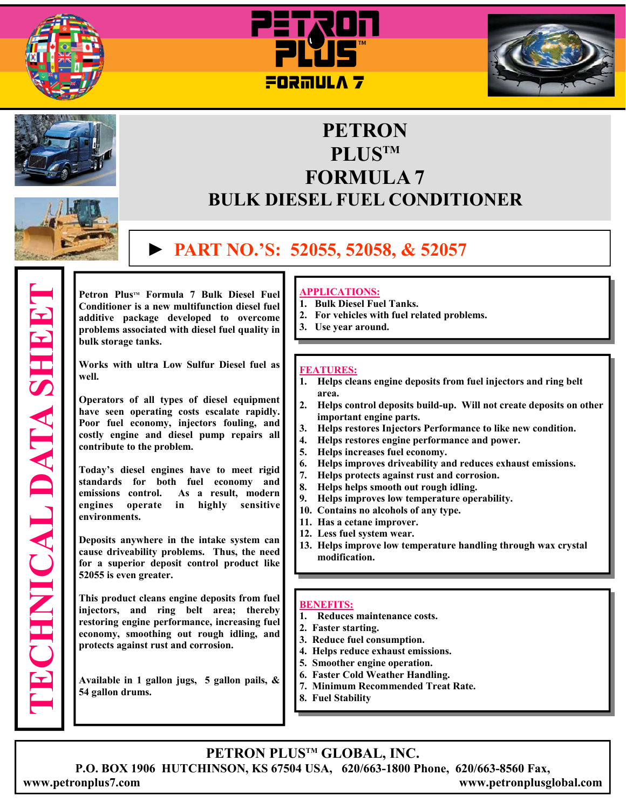







# **PETRON PLUSTM FORMULA 7 BULK DIESEL FUEL CONDITIONER**

# **► PART NO.'S: 52055, 52058, & 52057**

**TECHNICAL DATA SHEET ECHNICAL DATA SHEET** 

Petron Plus<sup>™</sup> Formula 7 Bulk Diesel Fuel **Conditioner is a new multifunction diesel fuel additive package developed to overcome problems associated with diesel fuel quality in bulk storage tanks.** 

**Works with ultra Low Sulfur Diesel fuel as well.** 

**Operators of all types of diesel equipment have seen operating costs escalate rapidly. Poor fuel economy, injectors fouling, and costly engine and diesel pump repairs all contribute to the problem.** 

**Today's diesel engines have to meet rigid standards for both fuel economy and emissions control. As a result, modern engines operate in highly sensitive environments.** 

**Deposits anywhere in the intake system can cause driveability problems. Thus, the need for a superior deposit control product like 52055 is even greater.** 

**This product cleans engine deposits from fuel injectors, and ring belt area; thereby restoring engine performance, increasing fuel economy, smoothing out rough idling, and protects against rust and corrosion.**

**Available in 1 gallon jugs, 5 gallon pails, & 54 gallon drums.**

### **APPLICATIONS:**

- **1. Bulk Diesel Fuel Tanks.**
- **2. For vehicles with fuel related problems.**
- **3. Use year around.**

#### **FEATURES:**

- **1. Helps cleans engine deposits from fuel injectors and ring belt**  area.<br>**2.** Helps
- **2. Helps control deposits build-up. Will not create deposits on other important engine parts.**
- **3. Helps restores Injectors Performance to like new condition.**
- **4. Helps restores engine performance and power.**
- **5. Helps increases fuel economy.**
- **6. Helps improves driveability and reduces exhaust emissions.**
- **7. Helps protects against rust and corrosion.**
- **8. Helps helps smooth out rough idling.**
- **9. Helps improves low temperature operability.**
- **10. Contains no alcohols of any type.**
- **11. Has a cetane improver.**
- **12. Less fuel system wear.**
- **13. Helps improve low temperature handling through wax crystal modification.**

### **BENEFITS:**

- **1. Reduces maintenance costs.**
- **2. Faster starting.**
- **3. Reduce fuel consumption.**
- **4. Helps reduce exhaust emissions.**
- **5. Smoother engine operation.**
- **6. Faster Cold Weather Handling.**
- **7. Minimum Recommended Treat Rate.**
- **8. Fuel Stability**

## **PETRON PLUSTM GLOBAL, INC.**

**P.O. BOX 1906 HUTCHINSON, KS 67504 USA, 620/663-1800 Phone, 620/663-8560 Fax,** 

**www.petronplus7.com www.petronplusglobal.com**